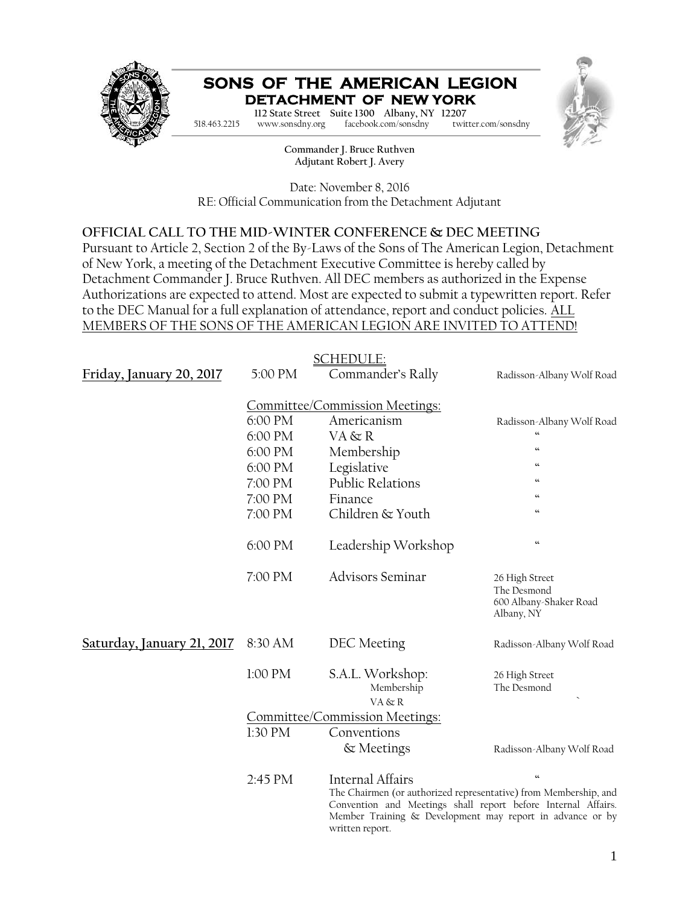

#### **SONS OF THE AMERICAN LEGION DETACHMENT OF NEW YORK**



**Commander Charles M. Depo 112 State Street Suite 1300 Albany, NY 12207 Adjutant Robert J. Avery** 518.463.2215 www.sonsdny.org facebook.com/sonsdny twitter.com/sonsdny

> **Commander J. Bruce Ruthven Adjutant Robert J. Avery**

Date: November 8, 2016 RE: Official Communication from the Detachment Adjutant

#### **OFFICIAL CALL TO THE MID-WINTER CONFERENCE & DEC MEETING**

Pursuant to Article 2, Section 2 of the By-Laws of the Sons of The American Legion, Detachment of New York, a meeting of the Detachment Executive Committee is hereby called by Detachment Commander J. Bruce Ruthven. All DEC members as authorized in the Expense Authorizations are expected to attend. Most are expected to submit a typewritten report. Refer to the DEC Manual for a full explanation of attendance, report and conduct policies. ALL MEMBERS OF THE SONS OF THE AMERICAN LEGION ARE INVITED TO ATTEND!

| <b>SCHEDULE:</b>           |                                |                                                                                                                                                                                                                   |                                                                       |  |  |
|----------------------------|--------------------------------|-------------------------------------------------------------------------------------------------------------------------------------------------------------------------------------------------------------------|-----------------------------------------------------------------------|--|--|
| Friday, January 20, 2017   | 5:00 PM                        | Commander's Rally                                                                                                                                                                                                 | Radisson-Albany Wolf Road                                             |  |  |
|                            | Committee/Commission Meetings: |                                                                                                                                                                                                                   |                                                                       |  |  |
|                            | 6:00 PM                        | Americanism                                                                                                                                                                                                       | Radisson-Albany Wolf Road                                             |  |  |
|                            | 6:00 PM                        | VA & R                                                                                                                                                                                                            | $\overline{\mathbf{G}}$                                               |  |  |
|                            | 6:00 PM                        | Membership                                                                                                                                                                                                        | $\boldsymbol{\omega}$                                                 |  |  |
|                            | 6:00 PM                        | Legislative                                                                                                                                                                                                       | $\omega$                                                              |  |  |
|                            | 7:00 PM                        | <b>Public Relations</b>                                                                                                                                                                                           | $\boldsymbol{\omega}$                                                 |  |  |
|                            | 7:00 PM                        | Finance                                                                                                                                                                                                           | $\boldsymbol{\omega}$                                                 |  |  |
|                            | 7:00 PM                        | Children & Youth                                                                                                                                                                                                  | $\epsilon$                                                            |  |  |
|                            | 6:00 PM                        | Leadership Workshop                                                                                                                                                                                               | $\boldsymbol{\omega}$                                                 |  |  |
|                            | 7:00 PM                        | <b>Advisors Seminar</b>                                                                                                                                                                                           | 26 High Street<br>The Desmond<br>600 Albany-Shaker Road<br>Albany, NY |  |  |
| Saturday, January 21, 2017 | 8:30 AM                        | DEC Meeting                                                                                                                                                                                                       | Radisson-Albany Wolf Road                                             |  |  |
|                            | 1:00 PM                        | S.A.L. Workshop:<br>Membership<br>VA & R                                                                                                                                                                          | 26 High Street<br>The Desmond                                         |  |  |
|                            | Committee/Commission Meetings: |                                                                                                                                                                                                                   |                                                                       |  |  |
|                            | 1:30 PM                        | Conventions                                                                                                                                                                                                       |                                                                       |  |  |
|                            |                                | & Meetings                                                                                                                                                                                                        | Radisson-Albany Wolf Road                                             |  |  |
|                            | 2:45 PM                        | Internal Affairs                                                                                                                                                                                                  | $\boldsymbol{\epsilon}\boldsymbol{\epsilon}$                          |  |  |
|                            |                                | The Chairmen (or authorized representative) from Membership, and<br>Convention and Meetings shall report before Internal Affairs.<br>Member Training & Development may report in advance or by<br>written report. |                                                                       |  |  |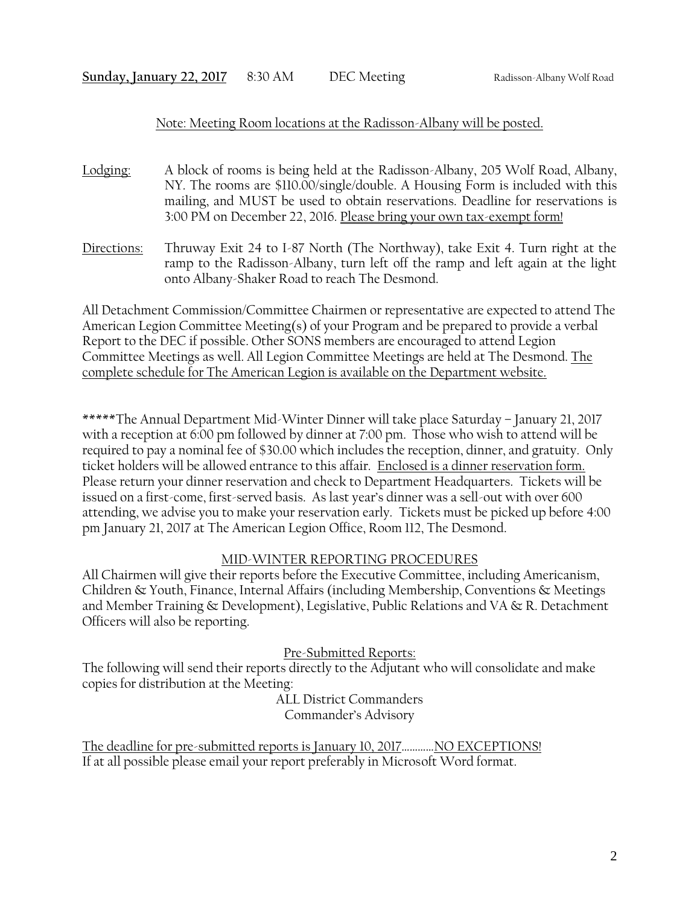#### Note: Meeting Room locations at the Radisson-Albany will be posted.

- Lodging: A block of rooms is being held at the Radisson-Albany, 205 Wolf Road, Albany, NY. The rooms are \$110.00/single/double. A Housing Form is included with this mailing, and MUST be used to obtain reservations. Deadline for reservations is 3:00 PM on December 22, 2016. Please bring your own tax-exempt form!
- Directions: Thruway Exit 24 to I-87 North (The Northway), take Exit 4. Turn right at the ramp to the Radisson-Albany, turn left off the ramp and left again at the light onto Albany-Shaker Road to reach The Desmond.

All Detachment Commission/Committee Chairmen or representative are expected to attend The American Legion Committee Meeting(s) of your Program and be prepared to provide a verbal Report to the DEC if possible. Other SONS members are encouraged to attend Legion Committee Meetings as well. All Legion Committee Meetings are held at The Desmond. The complete schedule for The American Legion is available on the Department website.

\*\*\*\*\*The Annual Department Mid-Winter Dinner will take place Saturday – January 21, 2017 with a reception at 6:00 pm followed by dinner at 7:00 pm. Those who wish to attend will be required to pay a nominal fee of \$30.00 which includes the reception, dinner, and gratuity. Only ticket holders will be allowed entrance to this affair. Enclosed is a dinner reservation form. Please return your dinner reservation and check to Department Headquarters. Tickets will be issued on a first-come, first-served basis. As last year's dinner was a sell-out with over 600 attending, we advise you to make your reservation early. Tickets must be picked up before 4:00 pm January 21, 2017 at The American Legion Office, Room 112, The Desmond.

#### MID-WINTER REPORTING PROCEDURES

All Chairmen will give their reports before the Executive Committee, including Americanism, Children & Youth, Finance, Internal Affairs (including Membership, Conventions & Meetings and Member Training & Development), Legislative, Public Relations and VA & R. Detachment Officers will also be reporting.

Pre-Submitted Reports:

The following will send their reports directly to the Adjutant who will consolidate and make copies for distribution at the Meeting:

ALL District Commanders Commander's Advisory

The deadline for pre-submitted reports is January 10, 2017............. NO EXCEPTIONS! If at all possible please email your report preferably in Microsoft Word format.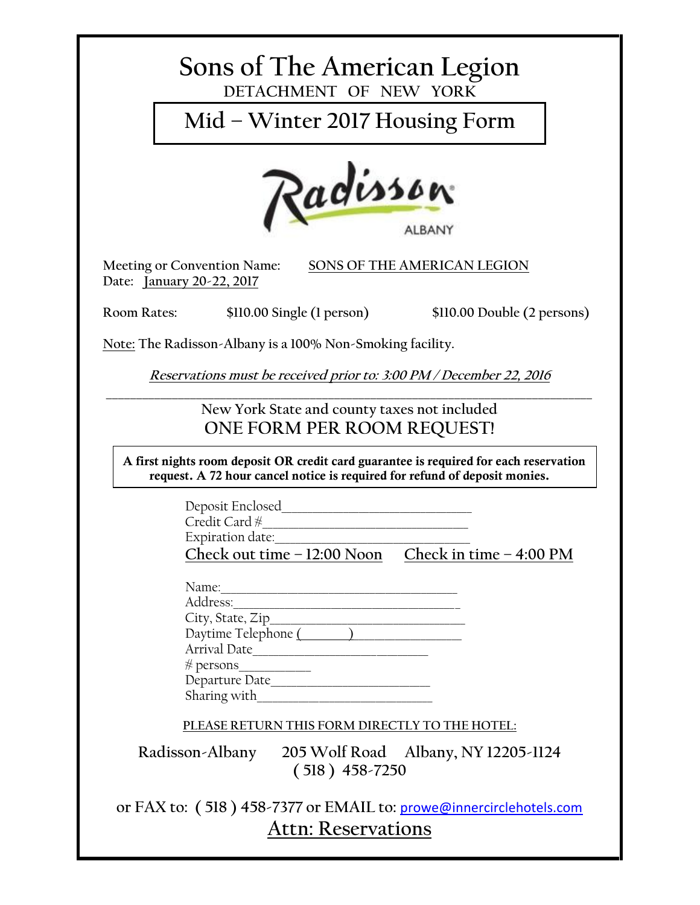# **Sons of The American Legion DETACHMENT OF NEW YORK**

**Mid – Winter 2017 Housing Form**



**Date: January 20-22, 2017**

**Meeting or Convention Name: SONS OF THE AMERICAN LEGION**

**Room Rates: \$110.00 Single (1 person) \$110.00 Double (2 persons)**

**Note: The Radisson-Albany is a 100% Non-Smoking facility.**

*Reservations must be received prior to: 3:00 PM / December 22, 2016*

**\_\_\_\_\_\_\_\_\_\_\_\_\_\_\_\_\_\_\_\_\_\_\_\_\_\_\_\_\_\_\_\_\_\_\_\_\_\_\_\_\_\_\_\_\_\_\_\_\_\_\_\_\_\_\_\_\_\_\_\_\_\_\_\_\_\_\_\_\_\_\_\_\_\_\_\_\_\_\_\_\_**

**New York State and county taxes not included ONE FORM PER ROOM REQUEST!**

**A first nights room deposit OR credit card guarantee is required for each reservation request. A 72 hour cancel notice is required for refund of deposit monies.**

| Deposit Enclosed             |                          |  |
|------------------------------|--------------------------|--|
| Credit Card $#$              |                          |  |
| Expiration date:             |                          |  |
| Check out time $-12:00$ Noon | Check in time $-4:00$ PM |  |

| Name:               |  |
|---------------------|--|
| Address:            |  |
| City, State, Zip    |  |
| Daytime Telephone ( |  |
| Arrival Date        |  |
| $\#$ persons        |  |
| Departure Date      |  |
| Sharing with        |  |

**PLEASE RETURN THIS FORM DIRECTLY TO THE HOTEL:**

**Radisson-Albany 205 Wolf Road Albany, NY 12205-1124 ( 518 ) 458-7250**

**or FAX to: ( 518 ) 458-7377 or EMAIL to:** prowe@innercirclehotels.com **Attn: Reservations**